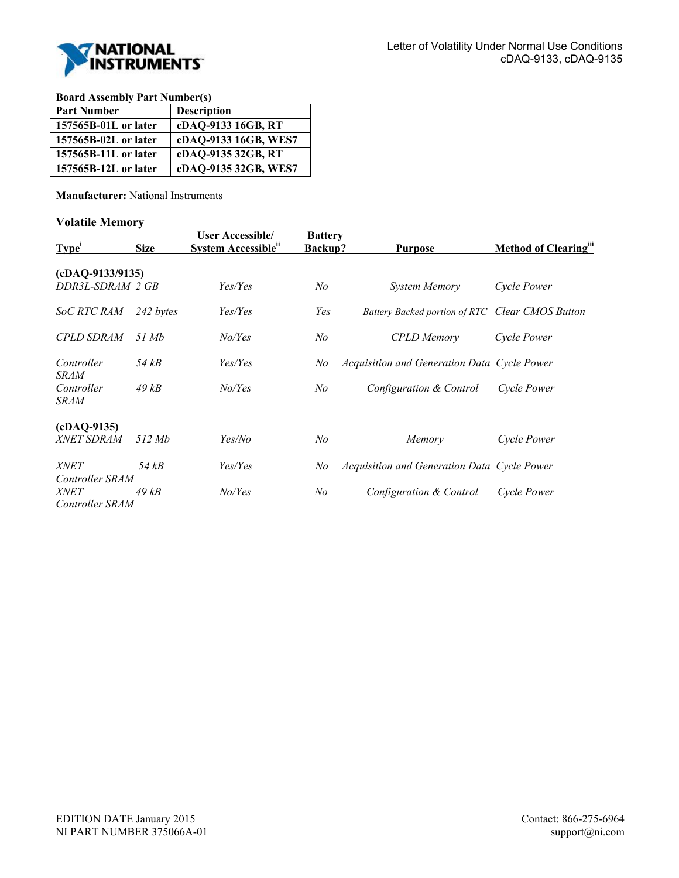

**Board Assembly Part Number(s)** 

| <b>Part Number</b>   | <b>Description</b>   |
|----------------------|----------------------|
| 157565B-01L or later | cDAQ-9133 16GB, RT   |
| 157565B-02L or later | cDAQ-9133 16GB, WES7 |
| 157565B-11L or later | cDAQ-9135 32GB, RT   |
| 157565B-12L or later | cDAQ-9135 32GB, WES7 |

**Manufacturer:** National Instruments

#### **Volatile Memory**

| Type <sup>1</sup>              | <b>Size</b> | <b>User Accessible/</b><br>System Accessible <sup>ii</sup> | <b>Battery</b><br><b>Backup?</b> | <b>Purpose</b>                                  | Method of Clearing" |
|--------------------------------|-------------|------------------------------------------------------------|----------------------------------|-------------------------------------------------|---------------------|
| $(cDAQ-9133/9135)$             |             |                                                            |                                  |                                                 |                     |
| DDR3L-SDRAM 2 GB               |             | Yes/Yes                                                    | No                               | System Memory                                   | Cycle Power         |
| <i>SoC RTC RAM</i>             | 242 bytes   | Yes/Yes                                                    | Yes                              | Battery Backed portion of RTC Clear CMOS Button |                     |
| <b>CPLD SDRAM</b>              | 51 Mb       | No/Yes                                                     | No                               | <b>CPLD</b> Memory                              | Cycle Power         |
| Controller<br><i>SRAM</i>      | 54 kB       | Yes/Yes                                                    | No                               | Acquisition and Generation Data Cycle Power     |                     |
| Controller<br><i>SRAM</i>      | 49kB        | No/Yes                                                     | No                               | Configuration & Control                         | Cycle Power         |
| $(cDAQ-9135)$                  |             |                                                            |                                  |                                                 |                     |
| <i>XNET SDRAM</i>              | 512 Mb      | Yes/No                                                     | No                               | Memory                                          | Cycle Power         |
| <i>XNET</i><br>Controller SRAM | 54 kB       | Yes/Yes                                                    | No                               | Acquisition and Generation Data Cycle Power     |                     |
| <i>XNET</i><br>Controller SRAM | 49 kB       | No/Yes                                                     | No                               | Configuration & Control                         | Cycle Power         |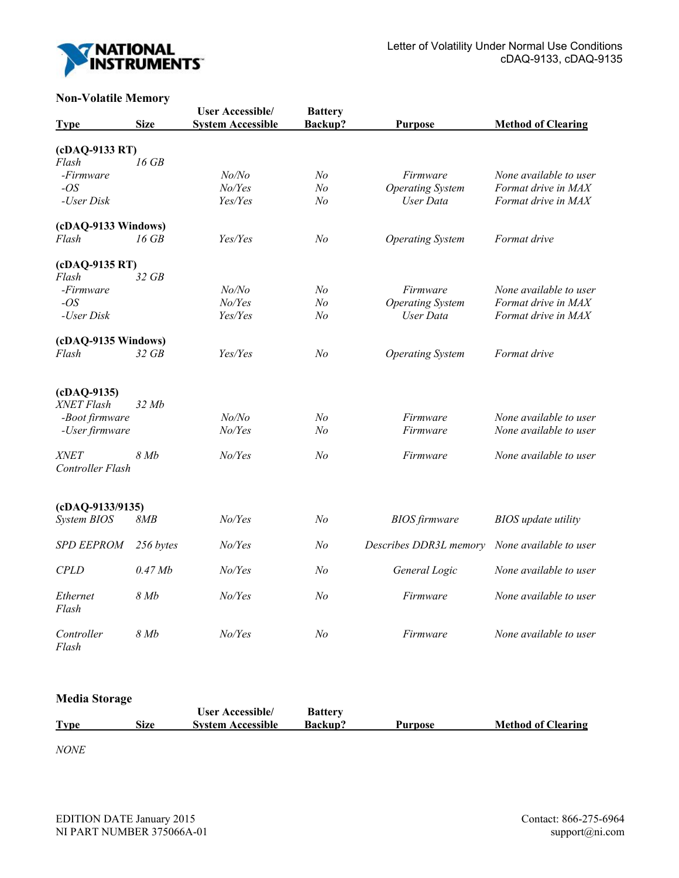

## **Non-Volatile Memory**

| $1.0H$ , $0.00H$ $\mu$ $0.00H$ $\mu$<br><b>Type</b> | <b>Size</b> | <b>User Accessible/</b><br><b>System Accessible</b> | <b>Battery</b><br>Backup? | <b>Purpose</b>          | <b>Method of Clearing</b>  |
|-----------------------------------------------------|-------------|-----------------------------------------------------|---------------------------|-------------------------|----------------------------|
| (cDAQ-9133 RT)                                      |             |                                                     |                           |                         |                            |
| Flash                                               | $16$ $GB$   |                                                     |                           |                         |                            |
| -Firmware                                           |             | No/No                                               | N <sub>o</sub>            | Firmware                | None available to user     |
| $-OS$                                               |             | No/Yes                                              | No                        | <b>Operating System</b> | Format drive in MAX        |
| -User Disk                                          |             | Yes/Yes                                             | N <sub>o</sub>            | User Data               | Format drive in MAX        |
| (cDAQ-9133 Windows)                                 |             |                                                     |                           |                         |                            |
| Flash                                               | 16 GB       | Yes/Yes                                             | N <sub>o</sub>            | <b>Operating System</b> | Format drive               |
| (cDAQ-9135 RT)                                      |             |                                                     |                           |                         |                            |
| Flash                                               | $32$ GB     |                                                     |                           |                         |                            |
| -Firmware                                           |             | No/No                                               | No                        | Firmware                | None available to user     |
| $-OS$                                               |             | No/Yes                                              | No                        | <b>Operating System</b> | Format drive in MAX        |
| -User Disk                                          |             | Yes/Yes                                             | No                        | User Data               | Format drive in MAX        |
| (cDAQ-9135 Windows)                                 |             |                                                     |                           |                         |                            |
| Flash                                               | 32 GB       | Yes/Yes                                             | No                        | <b>Operating System</b> | Format drive               |
| $(cDAQ-9135)$                                       |             |                                                     |                           |                         |                            |
| XNET Flash                                          | 32Mb        |                                                     |                           |                         |                            |
| -Boot firmware                                      |             | No/No                                               | N <sub>o</sub>            | Firmware                | None available to user     |
| -User firmware                                      |             | No/Yes                                              | No                        | Firmware                | None available to user     |
| <b>XNET</b><br>Controller Flash                     | 8Mb         | No/Yes                                              | N <sub>o</sub>            | Firmware                | None available to user     |
| $(cDAQ-9133/9135)$                                  |             |                                                     |                           |                         |                            |
| System BIOS                                         | 8MB         | No/Ves                                              | N <sub>o</sub>            | <b>BIOS</b> firmware    | <b>BIOS</b> update utility |
| <b>SPD EEPROM</b>                                   | 256 bytes   | No/Yes                                              | No                        | Describes DDR3L memory  | None available to user     |
| <b>CPLD</b>                                         | $0.47$ Mb   | No/Yes                                              | No                        | General Logic           | None available to user     |
| Ethernet<br>Flash                                   | 8Mb         | No/Yes                                              | No                        | Firmware                | None available to user     |
| Controller<br>Flash                                 | 8Mb         | No/Yes                                              | N <sub>o</sub>            | Firmware                | None available to user     |

# **Media Storage**

|             |      | <b>User Accessible</b>   | <b>Battery</b> |         |                           |
|-------------|------|--------------------------|----------------|---------|---------------------------|
| <b>Type</b> | Size | <b>System Accessible</b> | <b>Backup?</b> | Purpose | <b>Method of Clearing</b> |

*NONE*